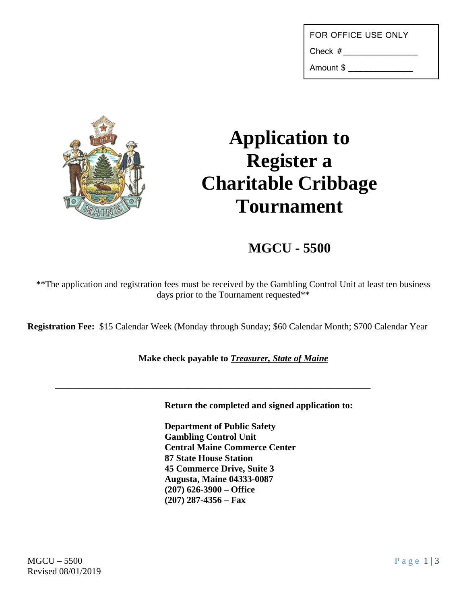| FOR OFFICE USE ONLY |  |
|---------------------|--|
|---------------------|--|

Check #

Amount \$ \_\_\_\_\_\_\_\_\_\_\_\_\_



## **Application to Register a Charitable Cribbage Tournament**

## **MGCU - 5500**

\*\*The application and registration fees must be received by the Gambling Control Unit at least ten business days prior to the Tournament requested\*\*

**Registration Fee:** \$15 Calendar Week (Monday through Sunday; \$60 Calendar Month; \$700 Calendar Year

## **Make check payable to** *Treasurer, State of Maine*

**\_\_\_\_\_\_\_\_\_\_\_\_\_\_\_\_\_\_\_\_\_\_\_\_\_\_\_\_\_\_\_\_\_\_\_\_\_\_\_\_\_\_\_\_\_\_\_\_\_\_\_\_\_\_\_\_\_\_\_\_\_\_\_\_\_\_\_\_\_**

**Return the completed and signed application to:**

**Department of Public Safety Gambling Control Unit Central Maine Commerce Center 87 State House Station 45 Commerce Drive, Suite 3 Augusta, Maine 04333-0087 (207) 626-3900 – Office (207) 287-4356 – Fax**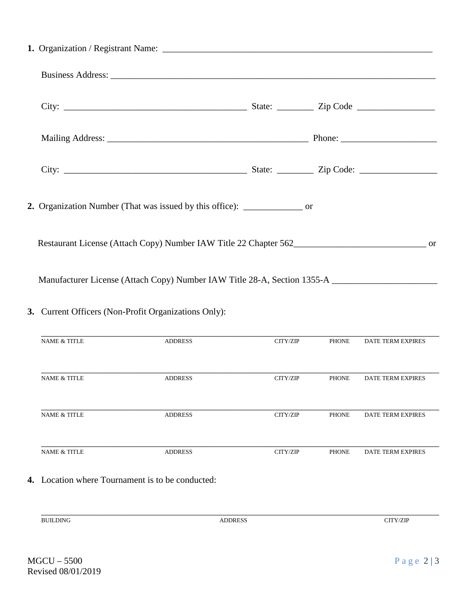| 2. Organization Number (That was issued by this office): _______________ or                          |                |          |              |                          |  |
|------------------------------------------------------------------------------------------------------|----------------|----------|--------------|--------------------------|--|
| Restaurant License (Attach Copy) Number IAW Title 22 Chapter 562                                     |                |          |              |                          |  |
| Manufacturer License (Attach Copy) Number IAW Title 28-A, Section 1355-A ___________________________ |                |          |              |                          |  |
| 3. Current Officers (Non-Profit Organizations Only):                                                 |                |          |              |                          |  |
| NAME $\&$ TITLE                                                                                      | <b>ADDRESS</b> | CITY/ZIP | PHONE        | DATE TERM EXPIRES        |  |
| <b>NAME &amp; TITLE</b>                                                                              | <b>ADDRESS</b> | CITY/ZIP | <b>PHONE</b> | DATE TERM EXPIRES        |  |
| <b>NAME &amp; TITLE</b>                                                                              | <b>ADDRESS</b> | CITY/ZIP | <b>PHONE</b> | <b>DATE TERM EXPIRES</b> |  |
| <b>NAME &amp; TITLE</b>                                                                              | <b>ADDRESS</b> | CITY/ZIP | <b>PHONE</b> | <b>DATE TERM EXPIRES</b> |  |
| 4. Location where Tournament is to be conducted:                                                     |                |          |              |                          |  |